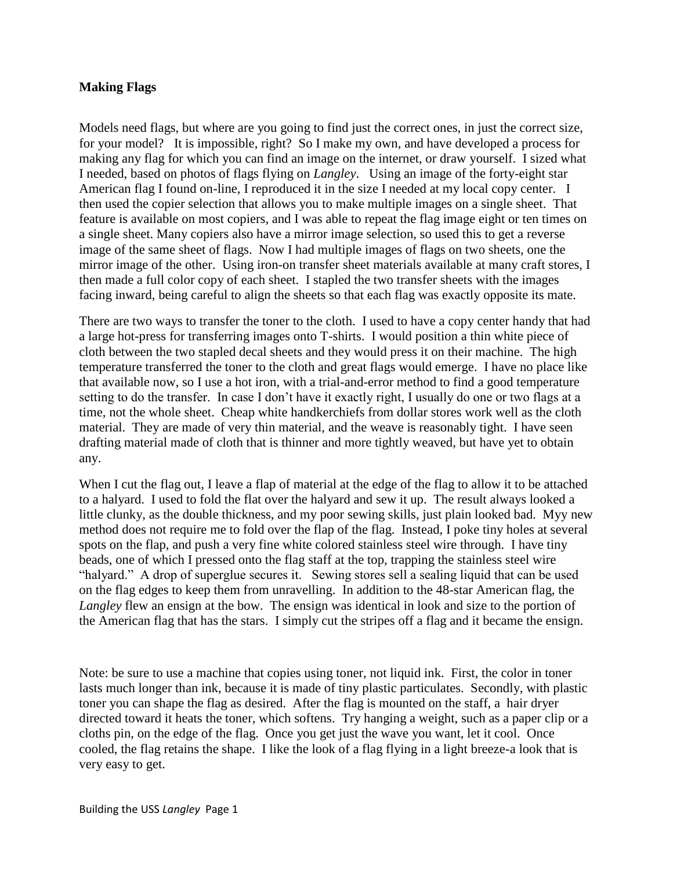## **Making Flags**

Models need flags, but where are you going to find just the correct ones, in just the correct size, for your model? It is impossible, right? So I make my own, and have developed a process for making any flag for which you can find an image on the internet, or draw yourself. I sized what I needed, based on photos of flags flying on *Langley*. Using an image of the forty-eight star American flag I found on-line, I reproduced it in the size I needed at my local copy center. I then used the copier selection that allows you to make multiple images on a single sheet. That feature is available on most copiers, and I was able to repeat the flag image eight or ten times on a single sheet. Many copiers also have a mirror image selection, so used this to get a reverse image of the same sheet of flags. Now I had multiple images of flags on two sheets, one the mirror image of the other. Using iron-on transfer sheet materials available at many craft stores, I then made a full color copy of each sheet. I stapled the two transfer sheets with the images facing inward, being careful to align the sheets so that each flag was exactly opposite its mate.

There are two ways to transfer the toner to the cloth. I used to have a copy center handy that had a large hot-press for transferring images onto T-shirts. I would position a thin white piece of cloth between the two stapled decal sheets and they would press it on their machine. The high temperature transferred the toner to the cloth and great flags would emerge. I have no place like that available now, so I use a hot iron, with a trial-and-error method to find a good temperature setting to do the transfer. In case I don't have it exactly right, I usually do one or two flags at a time, not the whole sheet. Cheap white handkerchiefs from dollar stores work well as the cloth material. They are made of very thin material, and the weave is reasonably tight. I have seen drafting material made of cloth that is thinner and more tightly weaved, but have yet to obtain any.

When I cut the flag out, I leave a flap of material at the edge of the flag to allow it to be attached to a halyard. I used to fold the flat over the halyard and sew it up. The result always looked a little clunky, as the double thickness, and my poor sewing skills, just plain looked bad. Myy new method does not require me to fold over the flap of the flag. Instead, I poke tiny holes at several spots on the flap, and push a very fine white colored stainless steel wire through. I have tiny beads, one of which I pressed onto the flag staff at the top, trapping the stainless steel wire "halyard." A drop of superglue secures it. Sewing stores sell a sealing liquid that can be used on the flag edges to keep them from unravelling. In addition to the 48-star American flag, the *Langley* flew an ensign at the bow. The ensign was identical in look and size to the portion of the American flag that has the stars. I simply cut the stripes off a flag and it became the ensign.

Note: be sure to use a machine that copies using toner, not liquid ink. First, the color in toner lasts much longer than ink, because it is made of tiny plastic particulates. Secondly, with plastic toner you can shape the flag as desired. After the flag is mounted on the staff, a hair dryer directed toward it heats the toner, which softens. Try hanging a weight, such as a paper clip or a cloths pin, on the edge of the flag. Once you get just the wave you want, let it cool. Once cooled, the flag retains the shape. I like the look of a flag flying in a light breeze-a look that is very easy to get.